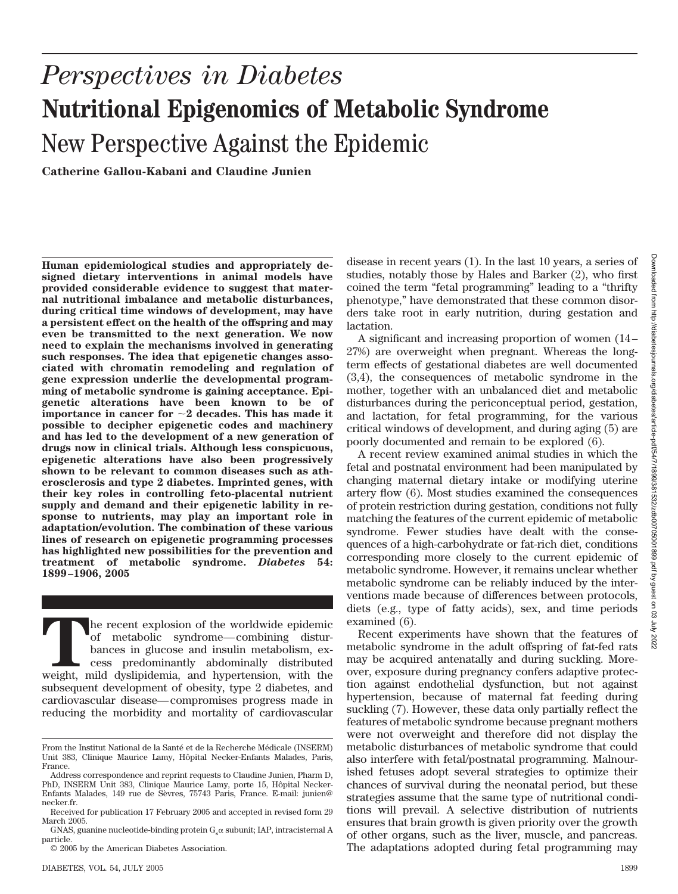# *Perspectives in Diabetes* **Nutritional Epigenomics of Metabolic Syndrome** New Perspective Against the Epidemic

**Catherine Gallou-Kabani and Claudine Junien**

**Human epidemiological studies and appropriately designed dietary interventions in animal models have provided considerable evidence to suggest that maternal nutritional imbalance and metabolic disturbances, during critical time windows of development, may have a persistent effect on the health of the offspring and may even be transmitted to the next generation. We now need to explain the mechanisms involved in generating such responses. The idea that epigenetic changes associated with chromatin remodeling and regulation of gene expression underlie the developmental programming of metabolic syndrome is gaining acceptance. Epigenetic alterations have been known to be of importance in cancer for 2 decades. This has made it possible to decipher epigenetic codes and machinery and has led to the development of a new generation of drugs now in clinical trials. Although less conspicuous, epigenetic alterations have also been progressively shown to be relevant to common diseases such as atherosclerosis and type 2 diabetes. Imprinted genes, with their key roles in controlling feto-placental nutrient supply and demand and their epigenetic lability in response to nutrients, may play an important role in adaptation/evolution. The combination of these various lines of research on epigenetic programming processes has highlighted new possibilities for the prevention and treatment of metabolic syndrome.** *Diabetes* **54: 1899–1906, 2005**

The recent explosion of the worldwide epidemic of metabolic syndrome—combining disturbances in glucose and insulin metabolism, excess predominantly abdominally distributed weight, mild dyslipidemia, and hypertension, with of metabolic syndrome—combining disturbances in glucose and insulin metabolism, excess predominantly abdominally distributed subsequent development of obesity, type 2 diabetes, and cardiovascular disease—compromises progress made in reducing the morbidity and mortality of cardiovascular

© 2005 by the American Diabetes Association.

disease in recent years (1). In the last 10 years, a series of studies, notably those by Hales and Barker (2), who first coined the term "fetal programming" leading to a "thrifty phenotype," have demonstrated that these common disorders take root in early nutrition, during gestation and lactation.

A significant and increasing proportion of women (14– 27%) are overweight when pregnant. Whereas the longterm effects of gestational diabetes are well documented (3,4), the consequences of metabolic syndrome in the mother, together with an unbalanced diet and metabolic disturbances during the periconceptual period, gestation, and lactation, for fetal programming, for the various critical windows of development, and during aging (5) are poorly documented and remain to be explored (6).

A recent review examined animal studies in which the fetal and postnatal environment had been manipulated by changing maternal dietary intake or modifying uterine artery flow (6). Most studies examined the consequences of protein restriction during gestation, conditions not fully matching the features of the current epidemic of metabolic syndrome. Fewer studies have dealt with the consequences of a high-carbohydrate or fat-rich diet, conditions corresponding more closely to the current epidemic of metabolic syndrome. However, it remains unclear whether metabolic syndrome can be reliably induced by the interventions made because of differences between protocols, diets (e.g., type of fatty acids), sex, and time periods examined (6).

Recent experiments have shown that the features of metabolic syndrome in the adult offspring of fat-fed rats may be acquired antenatally and during suckling. Moreover, exposure during pregnancy confers adaptive protection against endothelial dysfunction, but not against hypertension, because of maternal fat feeding during suckling (7). However, these data only partially reflect the features of metabolic syndrome because pregnant mothers were not overweight and therefore did not display the metabolic disturbances of metabolic syndrome that could also interfere with fetal/postnatal programming. Malnourished fetuses adopt several strategies to optimize their chances of survival during the neonatal period, but these strategies assume that the same type of nutritional conditions will prevail. A selective distribution of nutrients ensures that brain growth is given priority over the growth of other organs, such as the liver, muscle, and pancreas. The adaptations adopted during fetal programming may

From the Institut National de la Santé et de la Recherche Médicale (INSERM) Unit 383, Clinique Maurice Lamy, Hôpital Necker-Enfants Malades, Paris, France.

Address correspondence and reprint requests to Claudine Junien, Pharm D, PhD, INSERM Unit 383, Clinique Maurice Lamy, porte 15, Hôpital Necker-Enfants Malades, 149 rue de Sèvres, 75743 Paris, France. E-mail: junien@ necker.fr.

Received for publication 17 February 2005 and accepted in revised form 29 March 2005.

GNAS, guanine nucleotide-binding protein  $\mathrm{G}_{\mathrm{s}}\alpha$  subunit; IAP, intracisternal A particle.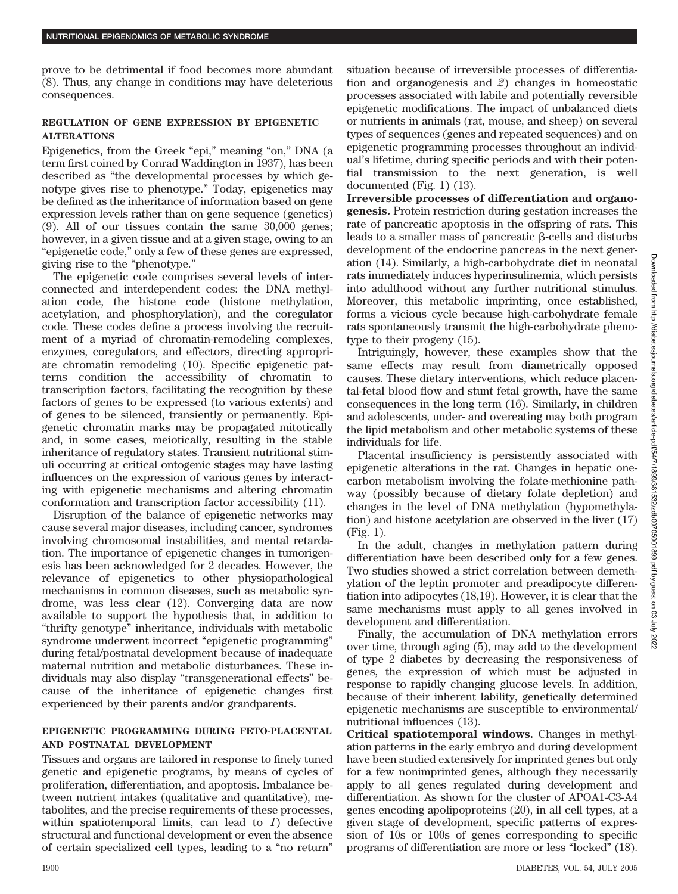prove to be detrimental if food becomes more abundant (8). Thus, any change in conditions may have deleterious consequences.

## **REGULATION OF GENE EXPRESSION BY EPIGENETIC ALTERATIONS**

Epigenetics, from the Greek "epi," meaning "on," DNA (a term first coined by Conrad Waddington in 1937), has been described as "the developmental processes by which genotype gives rise to phenotype." Today, epigenetics may be defined as the inheritance of information based on gene expression levels rather than on gene sequence (genetics) (9). All of our tissues contain the same 30,000 genes; however, in a given tissue and at a given stage, owing to an "epigenetic code," only a few of these genes are expressed, giving rise to the "phenotype."

The epigenetic code comprises several levels of interconnected and interdependent codes: the DNA methylation code, the histone code (histone methylation, acetylation, and phosphorylation), and the coregulator code. These codes define a process involving the recruitment of a myriad of chromatin-remodeling complexes, enzymes, coregulators, and effectors, directing appropriate chromatin remodeling (10). Specific epigenetic patterns condition the accessibility of chromatin to transcription factors, facilitating the recognition by these factors of genes to be expressed (to various extents) and of genes to be silenced, transiently or permanently. Epigenetic chromatin marks may be propagated mitotically and, in some cases, meiotically, resulting in the stable inheritance of regulatory states. Transient nutritional stimuli occurring at critical ontogenic stages may have lasting influences on the expression of various genes by interacting with epigenetic mechanisms and altering chromatin conformation and transcription factor accessibility (11).

Disruption of the balance of epigenetic networks may cause several major diseases, including cancer, syndromes involving chromosomal instabilities, and mental retardation. The importance of epigenetic changes in tumorigenesis has been acknowledged for 2 decades. However, the relevance of epigenetics to other physiopathological mechanisms in common diseases, such as metabolic syndrome, was less clear (12). Converging data are now available to support the hypothesis that, in addition to "thrifty genotype" inheritance, individuals with metabolic syndrome underwent incorrect "epigenetic programming" during fetal/postnatal development because of inadequate maternal nutrition and metabolic disturbances. These individuals may also display "transgenerational effects" because of the inheritance of epigenetic changes first experienced by their parents and/or grandparents.

## **EPIGENETIC PROGRAMMING DURING FETO-PLACENTAL AND POSTNATAL DEVELOPMENT**

Tissues and organs are tailored in response to finely tuned genetic and epigenetic programs, by means of cycles of proliferation, differentiation, and apoptosis. Imbalance between nutrient intakes (qualitative and quantitative), metabolites, and the precise requirements of these processes, within spatiotemporal limits, can lead to *1*) defective structural and functional development or even the absence of certain specialized cell types, leading to a "no return" situation because of irreversible processes of differentiation and organogenesis and *2*) changes in homeostatic processes associated with labile and potentially reversible epigenetic modifications. The impact of unbalanced diets or nutrients in animals (rat, mouse, and sheep) on several types of sequences (genes and repeated sequences) and on epigenetic programming processes throughout an individual's lifetime, during specific periods and with their potential transmission to the next generation, is well documented (Fig. 1) (13).

**Irreversible processes of differentiation and organogenesis.** Protein restriction during gestation increases the rate of pancreatic apoptosis in the offspring of rats. This leads to a smaller mass of pancreatic  $\beta$ -cells and disturbs development of the endocrine pancreas in the next generation (14). Similarly, a high-carbohydrate diet in neonatal rats immediately induces hyperinsulinemia, which persists into adulthood without any further nutritional stimulus. Moreover, this metabolic imprinting, once established, forms a vicious cycle because high-carbohydrate female rats spontaneously transmit the high-carbohydrate phenotype to their progeny (15).

Intriguingly, however, these examples show that the same effects may result from diametrically opposed causes. These dietary interventions, which reduce placental-fetal blood flow and stunt fetal growth, have the same consequences in the long term (16). Similarly, in children and adolescents, under- and overeating may both program the lipid metabolism and other metabolic systems of these individuals for life.

Placental insufficiency is persistently associated with epigenetic alterations in the rat. Changes in hepatic onecarbon metabolism involving the folate-methionine pathway (possibly because of dietary folate depletion) and changes in the level of DNA methylation (hypomethylation) and histone acetylation are observed in the liver (17) (Fig. 1).

In the adult, changes in methylation pattern during differentiation have been described only for a few genes. Two studies showed a strict correlation between demethylation of the leptin promoter and preadipocyte differentiation into adipocytes (18,19). However, it is clear that the same mechanisms must apply to all genes involved in development and differentiation.

Finally, the accumulation of DNA methylation errors over time, through aging (5), may add to the development of type 2 diabetes by decreasing the responsiveness of genes, the expression of which must be adjusted in response to rapidly changing glucose levels. In addition, because of their inherent lability, genetically determined epigenetic mechanisms are susceptible to environmental/ nutritional influences (13).

**Critical spatiotemporal windows.** Changes in methylation patterns in the early embryo and during development have been studied extensively for imprinted genes but only for a few nonimprinted genes, although they necessarily apply to all genes regulated during development and differentiation. As shown for the cluster of APOA1-C3-A4 genes encoding apolipoproteins (20), in all cell types, at a given stage of development, specific patterns of expression of 10s or 100s of genes corresponding to specific programs of differentiation are more or less "locked" (18).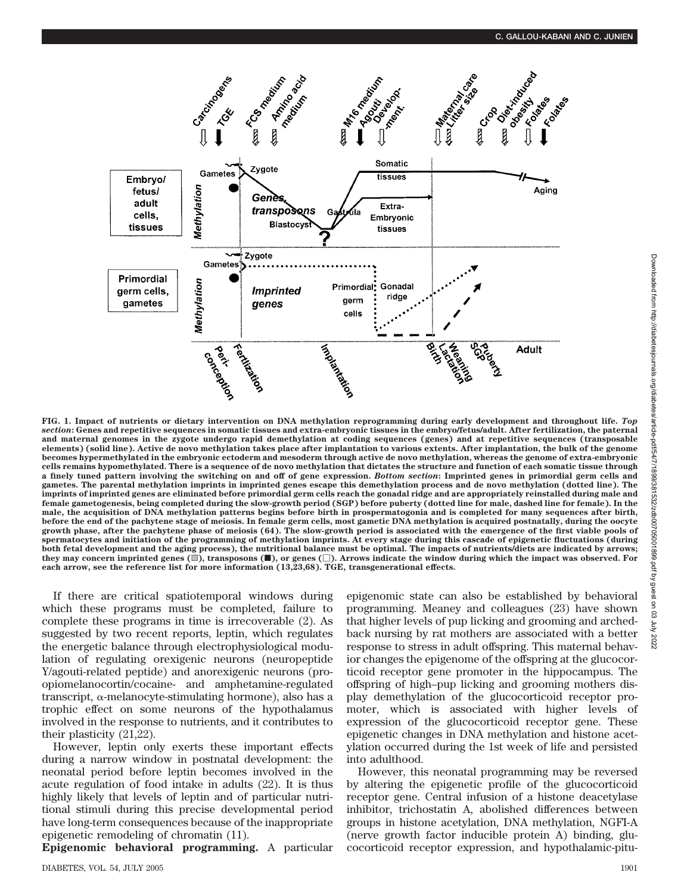

**FIG. 1. Impact of nutrients or dietary intervention on DNA methylation reprogramming during early development and throughout life.** *Top section***: Genes and repetitive sequences in somatic tissues and extra-embryonic tissues in the embryo/fetus/adult. After fertilization, the paternal and maternal genomes in the zygote undergo rapid demethylation at coding sequences (genes) and at repetitive sequences (transposable elements) (solid line). Active de novo methylation takes place after implantation to various extents. After implantation, the bulk of the genome becomes hypermethylated in the embryonic ectoderm and mesoderm through active de novo methylation, whereas the genome of extra-embryonic cells remains hypomethylated. There is a sequence of de novo methylation that dictates the structure and function of each somatic tissue through a finely tuned pattern involving the switching on and off of gene expression.** *Bottom section***: Imprinted genes in primordial germ cells and gametes. The parental methylation imprints in imprinted genes escape this demethylation process and de novo methylation (dotted line). The imprints of imprinted genes are eliminated before primordial germ cells reach the gonadal ridge and are appropriately reinstalled during male and female gametogenesis, being completed during the slow-growth period (SGP) before puberty (dotted line for male, dashed line for female). In the male, the acquisition of DNA methylation patterns begins before birth in prospermatogonia and is completed for many sequences after birth, before the end of the pachytene stage of meiosis. In female germ cells, most gametic DNA methylation is acquired postnatally, during the oocyte growth phase, after the pachytene phase of meiosis (64). The slow-growth period is associated with the emergence of the first viable pools of spermatocytes and initiation of the programming of methylation imprints. At every stage during this cascade of epigenetic fluctuations (during both fetal development and the aging process), the nutritional balance must be optimal. The impacts of nutrients/diets are indicated by arrows;** they may concern imprinted genes ( $\mathbb{Z}$ ), transposons ( $\blacksquare$ ), or genes ( $\Box$ ). Arrows indicate the window during which the impact was observed. For **each arrow, see the reference list for more information (13,23,68). TGE, transgenerational effects.**

If there are critical spatiotemporal windows during which these programs must be completed, failure to complete these programs in time is irrecoverable (2). As suggested by two recent reports, leptin, which regulates the energetic balance through electrophysiological modulation of regulating orexigenic neurons (neuropeptide Y/agouti-related peptide) and anorexigenic neurons (proopiomelanocortin/cocaine- and amphetamine-regulated transcript,  $\alpha$ -melanocyte-stimulating hormone), also has a trophic effect on some neurons of the hypothalamus involved in the response to nutrients, and it contributes to their plasticity (21,22).

However, leptin only exerts these important effects during a narrow window in postnatal development: the neonatal period before leptin becomes involved in the acute regulation of food intake in adults (22). It is thus highly likely that levels of leptin and of particular nutritional stimuli during this precise developmental period have long-term consequences because of the inappropriate epigenetic remodeling of chromatin (11).

**Epigenomic behavioral programming.** A particular

epigenomic state can also be established by behavioral programming. Meaney and colleagues (23) have shown that higher levels of pup licking and grooming and archedback nursing by rat mothers are associated with a better response to stress in adult offspring. This maternal behavior changes the epigenome of the offspring at the glucocorticoid receptor gene promoter in the hippocampus. The offspring of high–pup licking and grooming mothers display demethylation of the glucocorticoid receptor promoter, which is associated with higher levels of expression of the glucocorticoid receptor gene. These epigenetic changes in DNA methylation and histone acetylation occurred during the 1st week of life and persisted into adulthood.

However, this neonatal programming may be reversed by altering the epigenetic profile of the glucocorticoid receptor gene. Central infusion of a histone deacetylase inhibitor, trichostatin A, abolished differences between groups in histone acetylation, DNA methylation, NGFI-A (nerve growth factor inducible protein A) binding, glucocorticoid receptor expression, and hypothalamic-pitu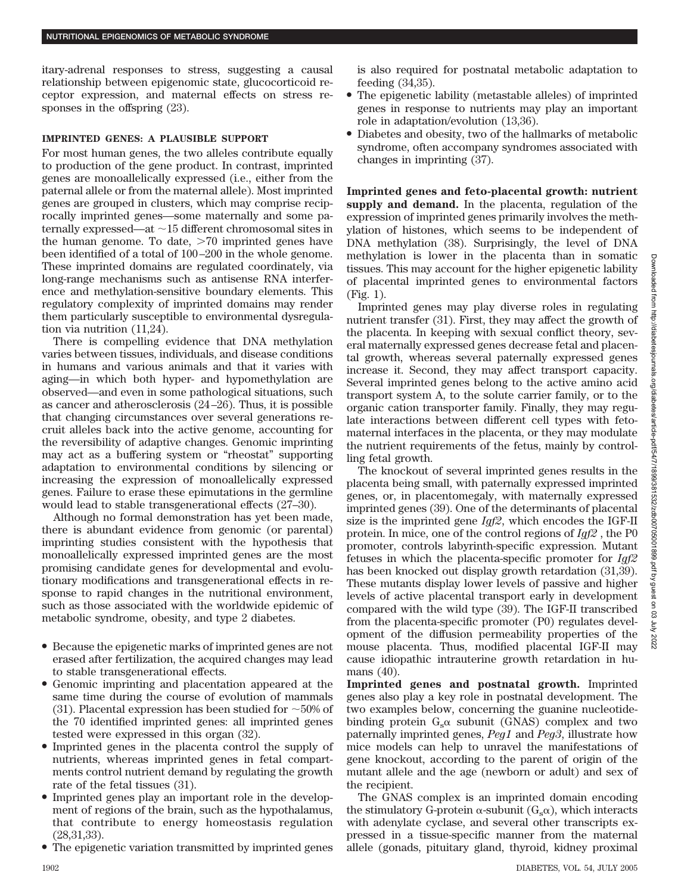itary-adrenal responses to stress, suggesting a causal relationship between epigenomic state, glucocorticoid receptor expression, and maternal effects on stress responses in the offspring (23).

#### **IMPRINTED GENES: A PLAUSIBLE SUPPORT**

For most human genes, the two alleles contribute equally to production of the gene product. In contrast, imprinted genes are monoallelically expressed (i.e., either from the paternal allele or from the maternal allele). Most imprinted genes are grouped in clusters, which may comprise reciprocally imprinted genes—some maternally and some paternally expressed—at  $\sim$ 15 different chromosomal sites in the human genome. To date,  $>70$  imprinted genes have been identified of a total of 100–200 in the whole genome. These imprinted domains are regulated coordinately, via long-range mechanisms such as antisense RNA interference and methylation-sensitive boundary elements. This regulatory complexity of imprinted domains may render them particularly susceptible to environmental dysregulation via nutrition (11,24).

There is compelling evidence that DNA methylation varies between tissues, individuals, and disease conditions in humans and various animals and that it varies with aging—in which both hyper- and hypomethylation are observed—and even in some pathological situations, such as cancer and atherosclerosis (24–26). Thus, it is possible that changing circumstances over several generations recruit alleles back into the active genome, accounting for the reversibility of adaptive changes. Genomic imprinting may act as a buffering system or "rheostat" supporting adaptation to environmental conditions by silencing or increasing the expression of monoallelically expressed genes. Failure to erase these epimutations in the germline would lead to stable transgenerational effects (27–30).

Although no formal demonstration has yet been made, there is abundant evidence from genomic (or parental) imprinting studies consistent with the hypothesis that monoallelically expressed imprinted genes are the most promising candidate genes for developmental and evolutionary modifications and transgenerational effects in response to rapid changes in the nutritional environment. such as those associated with the worldwide epidemic of metabolic syndrome, obesity, and type 2 diabetes.

- Because the epigenetic marks of imprinted genes are not erased after fertilization, the acquired changes may lead to stable transgenerational effects.
- Genomic imprinting and placentation appeared at the same time during the course of evolution of mammals (31). Placental expression has been studied for  $\sim$  50% of the 70 identified imprinted genes: all imprinted genes tested were expressed in this organ (32).
- Imprinted genes in the placenta control the supply of nutrients, whereas imprinted genes in fetal compartments control nutrient demand by regulating the growth rate of the fetal tissues (31).
- Imprinted genes play an important role in the development of regions of the brain, such as the hypothalamus, that contribute to energy homeostasis regulation (28,31,33).
- The epigenetic variation transmitted by imprinted genes

is also required for postnatal metabolic adaptation to feeding (34,35).

- The epigenetic lability (metastable alleles) of imprinted genes in response to nutrients may play an important role in adaptation/evolution (13,36).
- Diabetes and obesity, two of the hallmarks of metabolic syndrome, often accompany syndromes associated with changes in imprinting (37).

**Imprinted genes and feto-placental growth: nutrient supply and demand.** In the placenta, regulation of the expression of imprinted genes primarily involves the methylation of histones, which seems to be independent of DNA methylation (38). Surprisingly, the level of DNA methylation is lower in the placenta than in somatic tissues. This may account for the higher epigenetic lability of placental imprinted genes to environmental factors (Fig. 1).

Imprinted genes may play diverse roles in regulating nutrient transfer (31). First, they may affect the growth of the placenta. In keeping with sexual conflict theory, several maternally expressed genes decrease fetal and placental growth, whereas several paternally expressed genes increase it. Second, they may affect transport capacity. Several imprinted genes belong to the active amino acid transport system A, to the solute carrier family, or to the organic cation transporter family. Finally, they may regulate interactions between different cell types with fetomaternal interfaces in the placenta, or they may modulate the nutrient requirements of the fetus, mainly by controlling fetal growth.

The knockout of several imprinted genes results in the placenta being small, with paternally expressed imprinted genes, or, in placentomegaly, with maternally expressed imprinted genes (39). One of the determinants of placental size is the imprinted gene *Igf2*, which encodes the IGF-II protein. In mice, one of the control regions of *Igf2* , the P0 promoter, controls labyrinth-specific expression. Mutant fetuses in which the placenta-specific promoter for *Igf2* has been knocked out display growth retardation (31,39). These mutants display lower levels of passive and higher levels of active placental transport early in development compared with the wild type (39). The IGF-II transcribed from the placenta-specific promoter (P0) regulates development of the diffusion permeability properties of the mouse placenta. Thus, modified placental IGF-II may cause idiopathic intrauterine growth retardation in humans (40).

**Imprinted genes and postnatal growth.** Imprinted genes also play a key role in postnatal development. The two examples below, concerning the guanine nucleotidebinding protein  $G_s\alpha$  subunit (GNAS) complex and two paternally imprinted genes, *Peg1* and *Peg3*, illustrate how mice models can help to unravel the manifestations of gene knockout, according to the parent of origin of the mutant allele and the age (newborn or adult) and sex of the recipient.

The GNAS complex is an imprinted domain encoding the stimulatory G-protein  $\alpha$ -subunit ( $G_s\alpha$ ), which interacts with adenylate cyclase, and several other transcripts expressed in a tissue-specific manner from the maternal allele (gonads, pituitary gland, thyroid, kidney proximal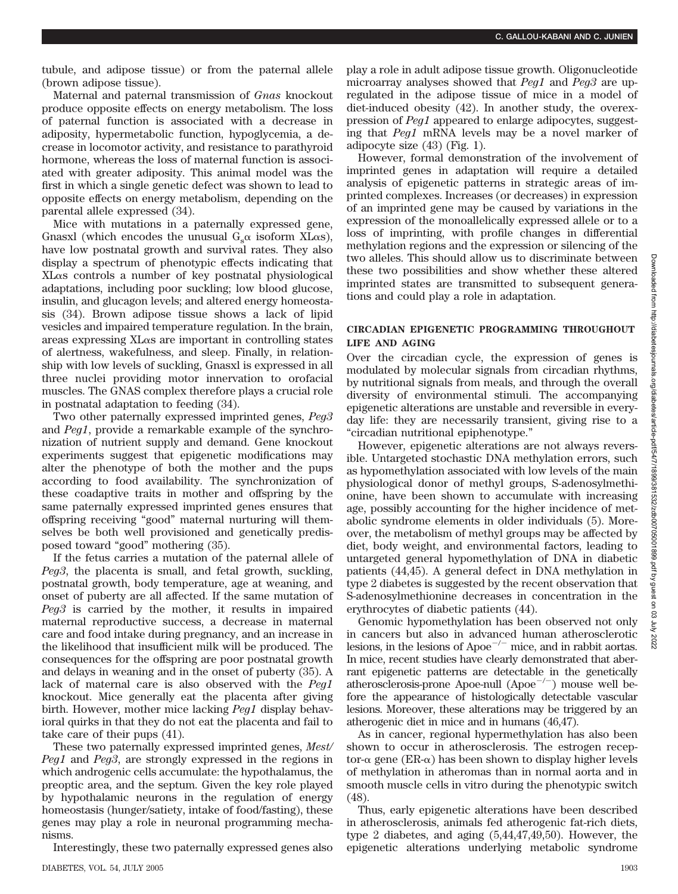tubule, and adipose tissue) or from the paternal allele (brown adipose tissue).

Maternal and paternal transmission of *Gnas* knockout produce opposite effects on energy metabolism. The loss of paternal function is associated with a decrease in adiposity, hypermetabolic function, hypoglycemia, a decrease in locomotor activity, and resistance to parathyroid hormone, whereas the loss of maternal function is associated with greater adiposity. This animal model was the first in which a single genetic defect was shown to lead to opposite effects on energy metabolism, depending on the parental allele expressed (34).

Mice with mutations in a paternally expressed gene, Gnasxl (which encodes the unusual  $G_s\alpha$  isoform XL $\alpha$ s), have low postnatal growth and survival rates. They also display a spectrum of phenotypic effects indicating that XLas controls a number of key postnatal physiological adaptations, including poor suckling; low blood glucose, insulin, and glucagon levels; and altered energy homeostasis (34). Brown adipose tissue shows a lack of lipid vesicles and impaired temperature regulation. In the brain,  $a$ reas expressing XL $\alpha$ s are important in controlling states of alertness, wakefulness, and sleep. Finally, in relationship with low levels of suckling, Gnasxl is expressed in all three nuclei providing motor innervation to orofacial muscles. The GNAS complex therefore plays a crucial role in postnatal adaptation to feeding (34).

Two other paternally expressed imprinted genes, *Peg3* and *Peg1*, provide a remarkable example of the synchronization of nutrient supply and demand. Gene knockout experiments suggest that epigenetic modifications may alter the phenotype of both the mother and the pups according to food availability. The synchronization of these coadaptive traits in mother and offspring by the same paternally expressed imprinted genes ensures that offspring receiving "good" maternal nurturing will themselves be both well provisioned and genetically predisposed toward "good" mothering (35).

If the fetus carries a mutation of the paternal allele of *Peg3*, the placenta is small, and fetal growth, suckling, postnatal growth, body temperature, age at weaning, and onset of puberty are all affected. If the same mutation of *Peg3* is carried by the mother, it results in impaired maternal reproductive success, a decrease in maternal care and food intake during pregnancy, and an increase in the likelihood that insufficient milk will be produced. The consequences for the offspring are poor postnatal growth and delays in weaning and in the onset of puberty (35). A lack of maternal care is also observed with the *Peg1* knockout. Mice generally eat the placenta after giving birth. However, mother mice lacking *Peg1* display behavioral quirks in that they do not eat the placenta and fail to take care of their pups (41).

These two paternally expressed imprinted genes, *Mest/ Peg1* and *Peg3*, are strongly expressed in the regions in which androgenic cells accumulate: the hypothalamus, the preoptic area, and the septum. Given the key role played by hypothalamic neurons in the regulation of energy homeostasis (hunger/satiety, intake of food/fasting), these genes may play a role in neuronal programming mechanisms.

Interestingly, these two paternally expressed genes also

However, formal demonstration of the involvement of imprinted genes in adaptation will require a detailed analysis of epigenetic patterns in strategic areas of imprinted complexes. Increases (or decreases) in expression of an imprinted gene may be caused by variations in the expression of the monoallelically expressed allele or to a loss of imprinting, with profile changes in differential methylation regions and the expression or silencing of the two alleles. This should allow us to discriminate between these two possibilities and show whether these altered imprinted states are transmitted to subsequent generations and could play a role in adaptation.

# **CIRCADIAN EPIGENETIC PROGRAMMING THROUGHOUT LIFE AND AGING**

Over the circadian cycle, the expression of genes is modulated by molecular signals from circadian rhythms, by nutritional signals from meals, and through the overall diversity of environmental stimuli. The accompanying epigenetic alterations are unstable and reversible in everyday life: they are necessarily transient, giving rise to a "circadian nutritional epiphenotype."

However, epigenetic alterations are not always reversible. Untargeted stochastic DNA methylation errors, such as hypomethylation associated with low levels of the main physiological donor of methyl groups, S-adenosylmethionine, have been shown to accumulate with increasing age, possibly accounting for the higher incidence of metabolic syndrome elements in older individuals (5). Moreover, the metabolism of methyl groups may be affected by diet, body weight, and environmental factors, leading to untargeted general hypomethylation of DNA in diabetic patients (44,45). A general defect in DNA methylation in type 2 diabetes is suggested by the recent observation that S-adenosylmethionine decreases in concentration in the erythrocytes of diabetic patients (44).

Genomic hypomethylation has been observed not only in cancers but also in advanced human atherosclerotic lesions, in the lesions of Apoe<sup>-/-</sup> mice, and in rabbit aortas. In mice, recent studies have clearly demonstrated that aberrant epigenetic patterns are detectable in the genetically atherosclerosis-prone Apoe-null  $(Apoe^{-/-})$  mouse well before the appearance of histologically detectable vascular lesions. Moreover, these alterations may be triggered by an atherogenic diet in mice and in humans (46,47).

As in cancer, regional hypermethylation has also been shown to occur in atherosclerosis. The estrogen receptor- $\alpha$  gene (ER- $\alpha$ ) has been shown to display higher levels of methylation in atheromas than in normal aorta and in smooth muscle cells in vitro during the phenotypic switch (48).

Thus, early epigenetic alterations have been described in atherosclerosis, animals fed atherogenic fat-rich diets, type 2 diabetes, and aging (5,44,47,49,50). However, the epigenetic alterations underlying metabolic syndrome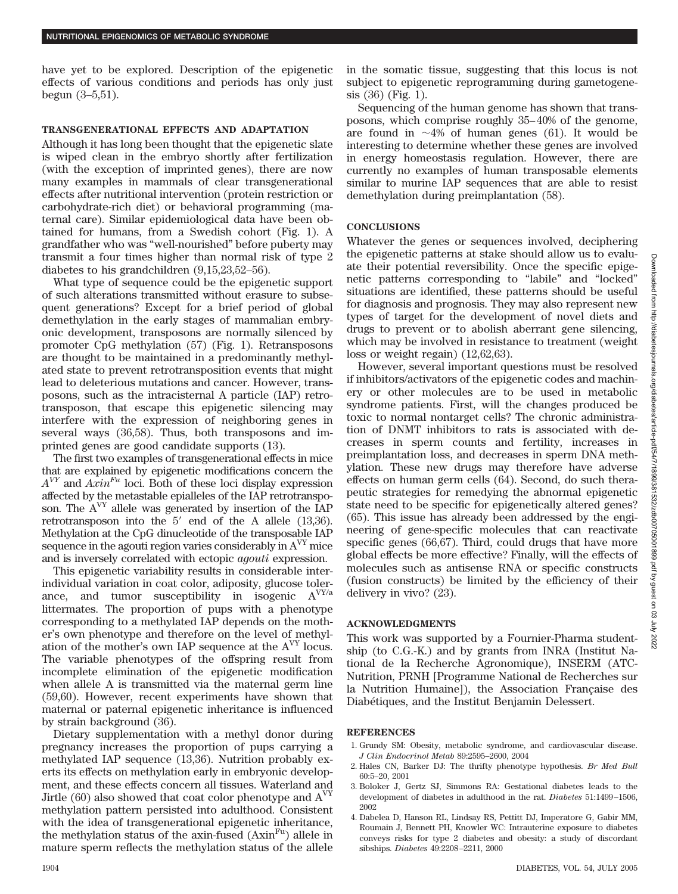have yet to be explored. Description of the epigenetic effects of various conditions and periods has only just begun (3–5,51).

### **TRANSGENERATIONAL EFFECTS AND ADAPTATION**

Although it has long been thought that the epigenetic slate is wiped clean in the embryo shortly after fertilization (with the exception of imprinted genes), there are now many examples in mammals of clear transgenerational effects after nutritional intervention (protein restriction or carbohydrate-rich diet) or behavioral programming (maternal care). Similar epidemiological data have been obtained for humans, from a Swedish cohort (Fig. 1). A grandfather who was "well-nourished" before puberty may transmit a four times higher than normal risk of type 2 diabetes to his grandchildren (9,15,23,52–56).

What type of sequence could be the epigenetic support of such alterations transmitted without erasure to subsequent generations? Except for a brief period of global demethylation in the early stages of mammalian embryonic development, transposons are normally silenced by promoter CpG methylation (57) (Fig. 1). Retransposons are thought to be maintained in a predominantly methylated state to prevent retrotransposition events that might lead to deleterious mutations and cancer. However, transposons, such as the intracisternal A particle (IAP) retrotransposon, that escape this epigenetic silencing may interfere with the expression of neighboring genes in several ways (36,58). Thus, both transposons and imprinted genes are good candidate supports (13).

The first two examples of transgenerational effects in mice that are explained by epigenetic modifications concern the *AVY* and *AxinFu* loci. Both of these loci display expression affected by the metastable epialleles of the IAP retrotransposon. The AVY allele was generated by insertion of the IAP retrotransposon into the  $5'$  end of the A allele  $(13,36)$ . Methylation at the CpG dinucleotide of the transposable IAP sequence in the agouti region varies considerably in AVY mice and is inversely correlated with ectopic *agouti* expression.

This epigenetic variability results in considerable interindividual variation in coat color, adiposity, glucose tolerance, and tumor susceptibility in isogenic  $A<sup>VY/a</sup>$ littermates. The proportion of pups with a phenotype corresponding to a methylated IAP depends on the mother's own phenotype and therefore on the level of methylation of the mother's own IAP sequence at the AVY locus. The variable phenotypes of the offspring result from incomplete elimination of the epigenetic modification when allele A is transmitted via the maternal germ line (59,60). However, recent experiments have shown that maternal or paternal epigenetic inheritance is influenced by strain background (36).

Dietary supplementation with a methyl donor during pregnancy increases the proportion of pups carrying a methylated IAP sequence (13,36). Nutrition probably exerts its effects on methylation early in embryonic development, and these effects concern all tissues. Waterland and Jirtle (60) also showed that coat color phenotype and  $A<sup>VT</sup>$ methylation pattern persisted into adulthood. Consistent with the idea of transgenerational epigenetic inheritance. the methylation status of the axin-fused  $(Axin<sup>Fu</sup>)$  allele in mature sperm reflects the methylation status of the allele in the somatic tissue, suggesting that this locus is not subject to epigenetic reprogramming during gametogenesis (36) (Fig. 1).

Sequencing of the human genome has shown that transposons, which comprise roughly 35–40% of the genome, are found in  $\sim$  4% of human genes (61). It would be interesting to determine whether these genes are involved in energy homeostasis regulation. However, there are currently no examples of human transposable elements similar to murine IAP sequences that are able to resist demethylation during preimplantation (58).

## **CONCLUSIONS**

Whatever the genes or sequences involved, deciphering the epigenetic patterns at stake should allow us to evaluate their potential reversibility. Once the specific epigenetic patterns corresponding to "labile" and "locked" situations are identified, these patterns should be useful for diagnosis and prognosis. They may also represent new types of target for the development of novel diets and drugs to prevent or to abolish aberrant gene silencing, which may be involved in resistance to treatment (weight loss or weight regain) (12,62,63).

However, several important questions must be resolved if inhibitors/activators of the epigenetic codes and machinery or other molecules are to be used in metabolic syndrome patients. First, will the changes produced be toxic to normal nontarget cells? The chronic administration of DNMT inhibitors to rats is associated with decreases in sperm counts and fertility, increases in preimplantation loss, and decreases in sperm DNA methylation. These new drugs may therefore have adverse effects on human germ cells (64). Second, do such therapeutic strategies for remedying the abnormal epigenetic state need to be specific for epigenetically altered genes? (65). This issue has already been addressed by the engineering of gene-specific molecules that can reactivate specific genes (66,67). Third, could drugs that have more global effects be more effective? Finally, will the effects of molecules such as antisense RNA or specific constructs (fusion constructs) be limited by the efficiency of their delivery in vivo? (23).

### **ACKNOWLEDGMENTS**

This work was supported by a Fournier-Pharma studentship (to C.G.-K.) and by grants from INRA (Institut National de la Recherche Agronomique), INSERM (ATC-Nutrition, PRNH [Programme National de Recherches sur la Nutrition Humainel), the Association Francaise des Diabétiques, and the Institut Benjamin Delessert.

## **REFERENCES**

- 1. Grundy SM: Obesity, metabolic syndrome, and cardiovascular disease. *J Clin Endocrinol Metab* 89:2595–2600, 2004
- 2. Hales CN, Barker DJ: The thrifty phenotype hypothesis. *Br Med Bull* 60:5–20, 2001
- 3. Boloker J, Gertz SJ, Simmons RA: Gestational diabetes leads to the development of diabetes in adulthood in the rat. *Diabetes* 51:1499–1506, 2002
- 4. Dabelea D, Hanson RL, Lindsay RS, Pettitt DJ, Imperatore G, Gabir MM, Roumain J, Bennett PH, Knowler WC: Intrauterine exposure to diabetes conveys risks for type 2 diabetes and obesity: a study of discordant sibships. *Diabetes* 49:2208–2211, 2000

Downloaded

mom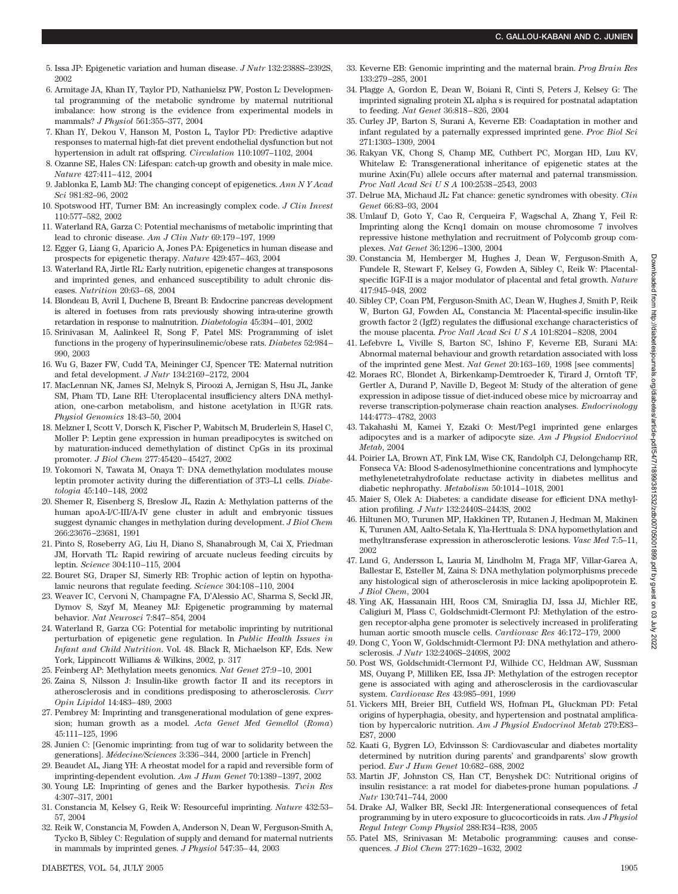- 6. Armitage JA, Khan IY, Taylor PD, Nathanielsz PW, Poston L: Developmental programming of the metabolic syndrome by maternal nutritional imbalance: how strong is the evidence from experimental models in mammals? *J Physiol* 561:355–377, 2004
- 7. Khan IY, Dekou V, Hanson M, Poston L, Taylor PD: Predictive adaptive responses to maternal high-fat diet prevent endothelial dysfunction but not hypertension in adult rat offspring. *Circulation* 110:1097–1102, 2004
- 8. Ozanne SE, Hales CN: Lifespan: catch-up growth and obesity in male mice. *Nature* 427:411–412, 2004
- 9. Jablonka E, Lamb MJ: The changing concept of epigenetics. *Ann N Y Acad Sci* 981:82–96, 2002
- 10. Spotswood HT, Turner BM: An increasingly complex code. *J Clin Invest* 110:577–582, 2002
- 11. Waterland RA, Garza C: Potential mechanisms of metabolic imprinting that lead to chronic disease. *Am J Clin Nutr* 69:179–197, 1999
- 12. Egger G, Liang G, Aparicio A, Jones PA: Epigenetics in human disease and prospects for epigenetic therapy. *Nature* 429:457–463, 2004
- 13. Waterland RA, Jirtle RL: Early nutrition, epigenetic changes at transposons and imprinted genes, and enhanced susceptibility to adult chronic diseases. *Nutrition* 20:63–68, 2004
- 14. Blondeau B, Avril I, Duchene B, Breant B: Endocrine pancreas development is altered in foetuses from rats previously showing intra-uterine growth retardation in response to malnutrition. *Diabetologia* 45:394–401, 2002
- 15. Srinivasan M, Aalinkeel R, Song F, Patel MS: Programming of islet functions in the progeny of hyperinsulinemic/obese rats. *Diabetes* 52:984– 990, 2003
- 16. Wu G, Bazer FW, Cudd TA, Meininger CJ, Spencer TE: Maternal nutrition and fetal development. *J Nutr* 134:2169–2172, 2004
- 17. MacLennan NK, James SJ, Melnyk S, Piroozi A, Jernigan S, Hsu JL, Janke SM, Pham TD, Lane RH: Uteroplacental insufficiency alters DNA methylation, one-carbon metabolism, and histone acetylation in IUGR rats. *Physiol Genomics* 18:43–50, 2004
- 18. Melzner I, Scott V, Dorsch K, Fischer P, Wabitsch M, Bruderlein S, Hasel C, Moller P: Leptin gene expression in human preadipocytes is switched on by maturation-induced demethylation of distinct CpGs in its proximal promoter. *J Biol Chem* 277:45420–45427, 2002
- 19. Yokomori N, Tawata M, Onaya T: DNA demethylation modulates mouse leptin promoter activity during the differentiation of 3T3–L1 cells. *Diabetologia* 45:140–148, 2002
- 20. Shemer R, Eisenberg S, Breslow JL, Razin A: Methylation patterns of the human apoA-I/C-III/A-IV gene cluster in adult and embryonic tissues suggest dynamic changes in methylation during development. *J Biol Chem* 266:23676–23681, 1991
- 21. Pinto S, Roseberry AG, Liu H, Diano S, Shanabrough M, Cai X, Friedman JM, Horvath TL: Rapid rewiring of arcuate nucleus feeding circuits by leptin. *Science* 304:110–115, 2004
- 22. Bouret SG, Draper SJ, Simerly RB: Trophic action of leptin on hypothalamic neurons that regulate feeding. *Science* 304:108–110, 2004
- 23. Weaver IC, Cervoni N, Champagne FA, D'Alessio AC, Sharma S, Seckl JR, Dymov S, Szyf M, Meaney MJ: Epigenetic programming by maternal behavior. *Nat Neurosci* 7:847–854, 2004
- 24. Waterland R, Garza CG: Potential for metabolic imprinting by nutritional perturbation of epigenetic gene regulation. In *Public Health Issues in Infant and Child Nutrition*. Vol. 48. Black R, Michaelson KF, Eds. New York, Lippincott Williams & Wilkins, 2002, p. 317
- 25. Feinberg AP: Methylation meets genomics. *Nat Genet* 27:9–10, 2001
- 26. Zaina S, Nilsson J: Insulin-like growth factor II and its receptors in atherosclerosis and in conditions predisposing to atherosclerosis. *Curr Opin Lipidol* 14:483–489, 2003
- 27. Pembrey M: Imprinting and transgenerational modulation of gene expression; human growth as a model. *Acta Genet Med Gemellol* (*Roma*) 45:111–125, 1996
- 28. Junien C: [Genomic imprinting: from tug of war to solidarity between the generations]. *Me´decine/Sciences* 3:336–344, 2000 [article in French]
- 29. Beaudet AL, Jiang YH: A rheostat model for a rapid and reversible form of imprinting-dependent evolution. *Am J Hum Genet* 70:1389–1397, 2002
- 30. Young LE: Imprinting of genes and the Barker hypothesis. *Twin Res* 4:307–317, 2001
- 31. Constancia M, Kelsey G, Reik W: Resourceful imprinting. *Nature* 432:53– 57, 2004
- 32. Reik W, Constancia M, Fowden A, Anderson N, Dean W, Ferguson-Smith A, Tycko B, Sibley C: Regulation of supply and demand for maternal nutrients in mammals by imprinted genes. *J Physiol* 547:35–44, 2003
- 33. Keverne EB: Genomic imprinting and the maternal brain. *Prog Brain Res* 133:279–285, 2001
- 34. Plagge A, Gordon E, Dean W, Boiani R, Cinti S, Peters J, Kelsey G: The imprinted signaling protein XL alpha s is required for postnatal adaptation to feeding. *Nat Genet* 36:818–826, 2004
- 35. Curley JP, Barton S, Surani A, Keverne EB: Coadaptation in mother and infant regulated by a paternally expressed imprinted gene. *Proc Biol Sci* 271:1303–1309, 2004
- 36. Rakyan VK, Chong S, Champ ME, Cuthbert PC, Morgan HD, Luu KV, Whitelaw E: Transgenerational inheritance of epigenetic states at the murine Axin(Fu) allele occurs after maternal and paternal transmission. *Proc Natl Acad SciUSA* 100:2538–2543, 2003
- 37. Delrue MA, Michaud JL: Fat chance: genetic syndromes with obesity. *Clin Genet* 66:83–93, 2004
- 38. Umlauf D, Goto Y, Cao R, Cerqueira F, Wagschal A, Zhang Y, Feil R: Imprinting along the Kcnq1 domain on mouse chromosome 7 involves repressive histone methylation and recruitment of Polycomb group complexes. *Nat Genet* 36:1296–1300, 2004
- 39. Constancia M, Hemberger M, Hughes J, Dean W, Ferguson-Smith A, Fundele R, Stewart F, Kelsey G, Fowden A, Sibley C, Reik W: Placentalspecific IGF-II is a major modulator of placental and fetal growth. *Nature* 417:945–948, 2002
- 40. Sibley CP, Coan PM, Ferguson-Smith AC, Dean W, Hughes J, Smith P, Reik W, Burton GJ, Fowden AL, Constancia M: Placental-specific insulin-like growth factor 2 (Igf2) regulates the diffusional exchange characteristics of the mouse placenta. *Proc Natl Acad SciUSA* 101:8204–8208, 2004
- 41. Lefebvre L, Viville S, Barton SC, Ishino F, Keverne EB, Surani MA: Abnormal maternal behaviour and growth retardation associated with loss of the imprinted gene Mest. *Nat Genet* 20:163–169, 1998 [see comments]
- 42. Moraes RC, Blondet A, Birkenkamp-Demtroeder K, Tirard J, Orntoft TF, Gertler A, Durand P, Naville D, Begeot M: Study of the alteration of gene expression in adipose tissue of diet-induced obese mice by microarray and reverse transcription-polymerase chain reaction analyses. *Endocrinology* 144:4773–4782, 2003
- 43. Takahashi M, Kamei Y, Ezaki O: Mest/Peg1 imprinted gene enlarges adipocytes and is a marker of adipocyte size. *Am J Physiol Endocrinol Metab*, 2004
- 44. Poirier LA, Brown AT, Fink LM, Wise CK, Randolph CJ, Delongchamp RR, Fonseca VA: Blood S-adenosylmethionine concentrations and lymphocyte methylenetetrahydrofolate reductase activity in diabetes mellitus and diabetic nephropathy. *Metabolism* 50:1014–1018, 2001
- 45. Maier S, Olek A: Diabetes: a candidate disease for efficient DNA methylation profiling. *J Nutr* 132:2440S–2443S, 2002
- 46. Hiltunen MO, Turunen MP, Hakkinen TP, Rutanen J, Hedman M, Makinen K, Turunen AM, Aalto-Setala K, Yla-Herttuala S: DNA hypomethylation and methyltransferase expression in atherosclerotic lesions. *Vasc Med* 7:5–11, 2002
- 47. Lund G, Andersson L, Lauria M, Lindholm M, Fraga MF, Villar-Garea A, Ballestar E, Esteller M, Zaina S: DNA methylation polymorphisms precede any histological sign of atherosclerosis in mice lacking apolipoprotein E. *J Biol Chem*, 2004
- 48. Ying AK, Hassanain HH, Roos CM, Smiraglia DJ, Issa JJ, Michler RE, Caligiuri M, Plass C, Goldschmidt-Clermont PJ: Methylation of the estrogen receptor-alpha gene promoter is selectively increased in proliferating human aortic smooth muscle cells. *Cardiovasc Res* 46:172–179, 2000
- 49. Dong C, Yoon W, Goldschmidt-Clermont PJ: DNA methylation and atherosclerosis. *J Nutr* 132:2406S–2409S, 2002
- 50. Post WS, Goldschmidt-Clermont PJ, Wilhide CC, Heldman AW, Sussman MS, Ouyang P, Milliken EE, Issa JP: Methylation of the estrogen receptor gene is associated with aging and atherosclerosis in the cardiovascular system. *Cardiovasc Res* 43:985–991, 1999
- 51. Vickers MH, Breier BH, Cutfield WS, Hofman PL, Gluckman PD: Fetal origins of hyperphagia, obesity, and hypertension and postnatal amplification by hypercaloric nutrition. *Am J Physiol Endocrinol Metab* 279:E83– E87, 2000
- 52. Kaati G, Bygren LO, Edvinsson S: Cardiovascular and diabetes mortality determined by nutrition during parents' and grandparents' slow growth period. *Eur J Hum Genet* 10:682–688, 2002
- 53. Martin JF, Johnston CS, Han CT, Benyshek DC: Nutritional origins of insulin resistance: a rat model for diabetes-prone human populations. *J Nutr* 130:741–744, 2000
- 54. Drake AJ, Walker BR, Seckl JR: Intergenerational consequences of fetal programming by in utero exposure to glucocorticoids in rats. *Am J Physiol Regul Integr Comp Physiol* 288:R34–R38, 2005
- 55. Patel MS, Srinivasan M: Metabolic programming: causes and consequences. *J Biol Chem* 277:1629–1632, 2002